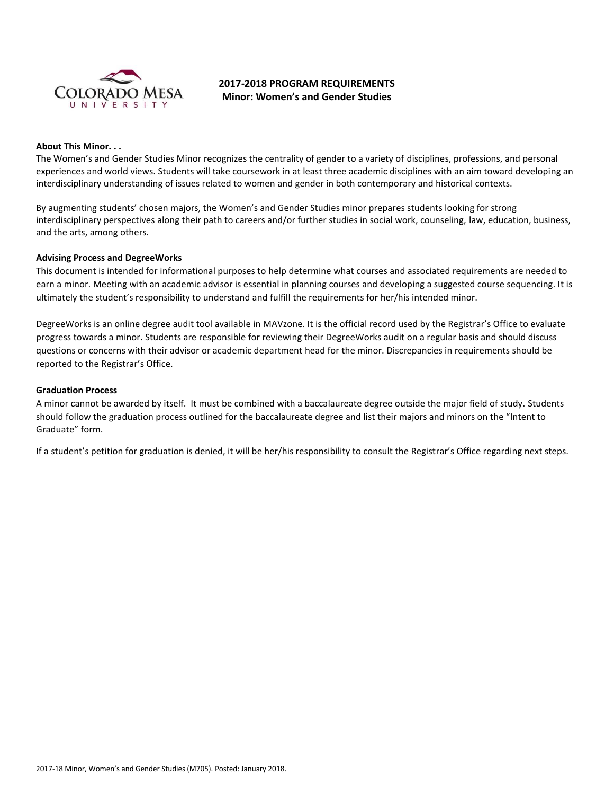

# **2017-2018 PROGRAM REQUIREMENTS Minor: Women's and Gender Studies**

#### **About This Minor. . .**

The Women's and Gender Studies Minor recognizes the centrality of gender to a variety of disciplines, professions, and personal experiences and world views. Students will take coursework in at least three academic disciplines with an aim toward developing an interdisciplinary understanding of issues related to women and gender in both contemporary and historical contexts.

By augmenting students' chosen majors, the Women's and Gender Studies minor prepares students looking for strong interdisciplinary perspectives along their path to careers and/or further studies in social work, counseling, law, education, business, and the arts, among others.

#### **Advising Process and DegreeWorks**

This document is intended for informational purposes to help determine what courses and associated requirements are needed to earn a minor. Meeting with an academic advisor is essential in planning courses and developing a suggested course sequencing. It is ultimately the student's responsibility to understand and fulfill the requirements for her/his intended minor.

DegreeWorks is an online degree audit tool available in MAVzone. It is the official record used by the Registrar's Office to evaluate progress towards a minor. Students are responsible for reviewing their DegreeWorks audit on a regular basis and should discuss questions or concerns with their advisor or academic department head for the minor. Discrepancies in requirements should be reported to the Registrar's Office.

#### **Graduation Process**

A minor cannot be awarded by itself. It must be combined with a baccalaureate degree outside the major field of study. Students should follow the graduation process outlined for the baccalaureate degree and list their majors and minors on the "Intent to Graduate" form.

If a student's petition for graduation is denied, it will be her/his responsibility to consult the Registrar's Office regarding next steps.